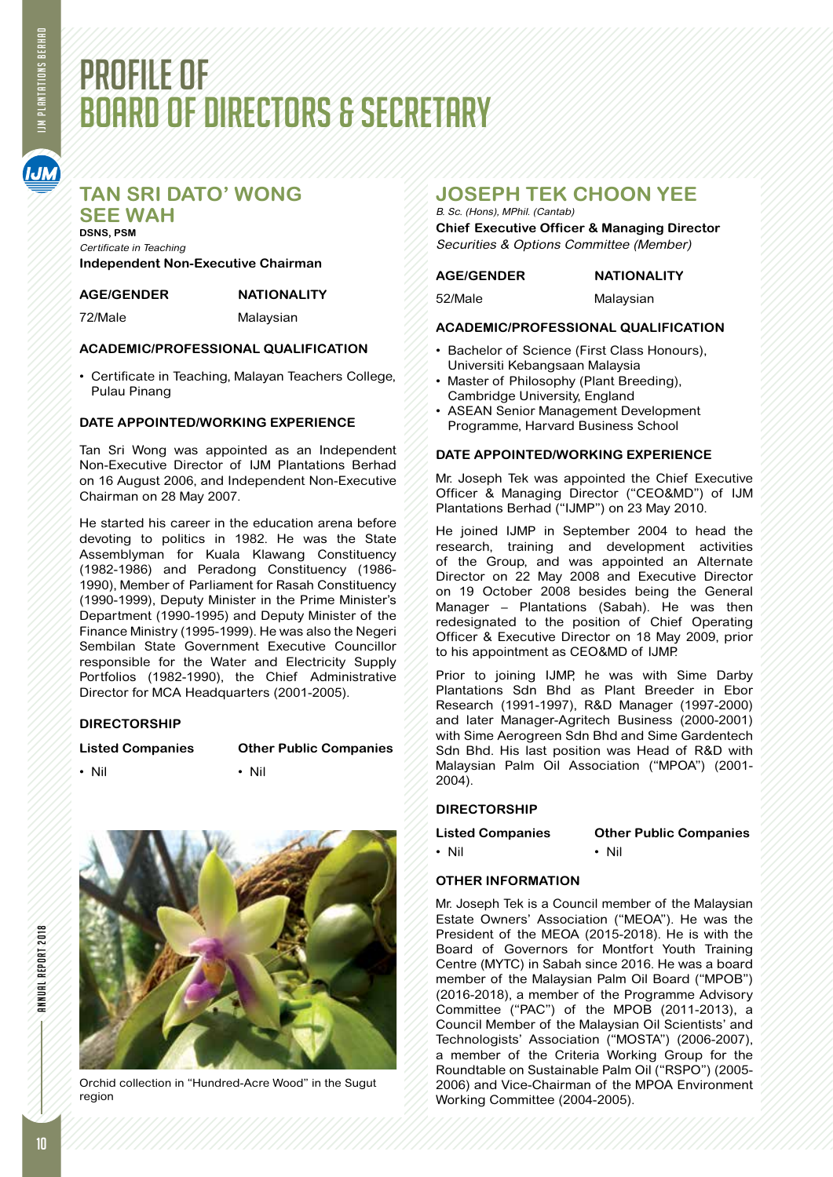# PROFILE OF BOARD OF DIRECTORS & SECRETARY

# **TAN SRI DATO' WONG**

**SEE WAH DSNS, PSM** Certificate in Teaching **Independent Non-Executive Chairman**

#### **AGE/GENDER NATIONALITY**

72/Male Malaysian

### **ACADEMIC/PROFESSIONAL QUALIFICATION**

• Certificate in Teaching, Malayan Teachers College, Pulau Pinang

## **DATE APPOINTED/WORKING EXPERIENCE**

Tan Sri Wong was appointed as an Independent Non-Executive Director of IJM Plantations Berhad on 16 August 2006, and Independent Non-Executive Chairman on 28 May 2007.

He started his career in the education arena before devoting to politics in 1982. He was the State Assemblyman for Kuala Klawang Constituency (1982-1986) and Peradong Constituency (1986- 1990), Member of Parliament for Rasah Constituency (1990-1999), Deputy Minister in the Prime Minister's Department (1990-1995) and Deputy Minister of the Finance Ministry (1995-1999). He was also the Negeri Sembilan State Government Executive Councillor responsible for the Water and Electricity Supply Portfolios (1982-1990), the Chief Administrative Director for MCA Headquarters (2001-2005).

## **DIRECTORSHIP**

**Listed Companies Other Public Companies**



• Nil • Nil • Nil



Orchid collection in "Hundred-Acre Wood" in the Sugut region

# **JOSEPH TEK CHOON YEE**

#### B. Sc. (Hons), MPhil. (Cantab)

**Chief Executive Officer & Managing Director** Securities & Options Committee (Member)

#### **AGE/GENDER NATIONALITY**

52/Male Malaysian

### **ACADEMIC/PROFESSIONAL QUALIFICATION**

- • Bachelor of Science (First Class Honours), Universiti Kebangsaan Malaysia
- Master of Philosophy (Plant Breeding), Cambridge University, England
- ASEAN Senior Management Development Programme, Harvard Business School

#### **DATE APPOINTED/WORKING EXPERIENCE**

Mr. Joseph Tek was appointed the Chief Executive Officer & Managing Director ("CEO&MD") of IJM Plantations Berhad ("IJMP") on 23 May 2010.

He joined IJMP in September 2004 to head the research, training and development activities of the Group, and was appointed an Alternate Director on 22 May 2008 and Executive Director on 19 October 2008 besides being the General Manager – Plantations (Sabah). He was then redesignated to the position of Chief Operating Officer & Executive Director on 18 May 2009, prior to his appointment as CEO&MD of IJMP.

Prior to joining IJMP, he was with Sime Darby Plantations Sdn Bhd as Plant Breeder in Ebor Research (1991-1997), R&D Manager (1997-2000) and later Manager-Agritech Business (2000-2001) with Sime Aerogreen Sdn Bhd and Sime Gardentech Sdn Bhd. His last position was Head of R&D with Malaysian Palm Oil Association ("MPOA") (2001- 2004).

### **DIRECTORSHIP**

**Listed Companies Other Public Companies** • Nil • Nil • Nil

## **OTHER INFORMATION**

Mr. Joseph Tek is a Council member of the Malaysian Estate Owners' Association ("MEOA"). He was the President of the MEOA (2015-2018). He is with the Board of Governors for Montfort Youth Training Centre (MYTC) in Sabah since 2016. He was a board member of the Malaysian Palm Oil Board ("MPOB") (2016-2018), a member of the Programme Advisory Committee ("PAC") of the MPOB (2011-2013), a Council Member of the Malaysian Oil Scientists' and Technologists' Association ("MOSTA") (2006-2007), a member of the Criteria Working Group for the Roundtable on Sustainable Palm Oil ("RSPO") (2005- 2006) and Vice-Chairman of the MPOA Environment Working Committee (2004-2005).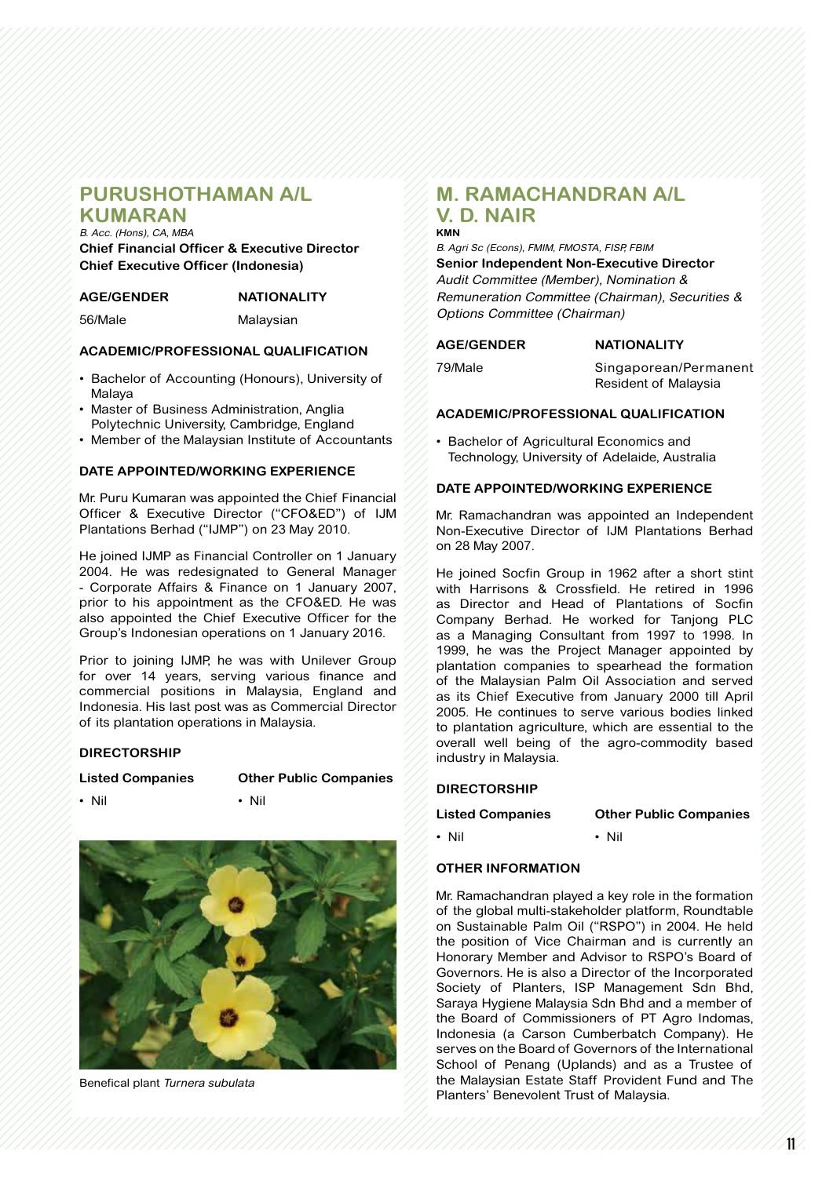## **PURUSHOTHAMAN A/L KUMARAN**

B. Acc. (Hons), CA, MBA

**Chief Financial Officer & Executive Director Chief Executive Officer (Indonesia)**

56/Male Malaysian

#### **ACADEMIC/PROFESSIONAL QUALIFICATION**

- Bachelor of Accounting (Honours), University of Malaya
- Master of Business Administration, Anglia Polytechnic University, Cambridge, England
- Member of the Malaysian Institute of Accountants

#### **DATE APPOINTED/WORKING EXPERIENCE**

Mr. Puru Kumaran was appointed the Chief Financial Officer & Executive Director ("CFO&ED") of IJM Plantations Berhad ("IJMP") on 23 May 2010.

He joined IJMP as Financial Controller on 1 January 2004. He was redesignated to General Manager - Corporate Affairs & Finance on 1 January 2007, prior to his appointment as the CFO&ED. He was also appointed the Chief Executive Officer for the Group's Indonesian operations on 1 January 2016.

Prior to joining IJMP, he was with Unilever Group for over 14 years, serving various finance and commercial positions in Malaysia, England and Indonesia. His last post was as Commercial Director of its plantation operations in Malaysia.

#### **DIRECTORSHIP**

#### **Listed Companies Other Public Companies**

• Nil • Nil • Nil



Benefical plant Turnera subulata

# **M. RAMACHANDRAN A/L V. D. NAIR**

**KMN** B. Agri Sc (Econs), FMIM, FMOSTA, FISP, FBIM **Senior Independent Non-Executive Director** Audit Committee (Member), Nomination & Remuneration Committee (Chairman), Securities & Options Committee (Chairman)

**AGE/GENDER NATIONALITY**

79/Male Singaporean/Permanent Resident of Malaysia

#### **ACADEMIC/PROFESSIONAL QUALIFICATION**

• Bachelor of Agricultural Economics and Technology, University of Adelaide, Australia

#### **DATE APPOINTED/WORKING EXPERIENCE**

Mr. Ramachandran was appointed an Independent Non-Executive Director of IJM Plantations Berhad on 28 May 2007.

He joined Socfin Group in 1962 after a short stint with Harrisons & Crossfield. He retired in 1996 as Director and Head of Plantations of Socfin Company Berhad. He worked for Tanjong PLC as a Managing Consultant from 1997 to 1998. In 1999, he was the Project Manager appointed by plantation companies to spearhead the formation of the Malaysian Palm Oil Association and served as its Chief Executive from January 2000 till April 2005. He continues to serve various bodies linked to plantation agriculture, which are essential to the overall well being of the agro-commodity based industry in Malaysia.

#### **DIRECTORSHIP**

**Listed Companies Other Public Companies**

• Nil • Nil • Nil

#### **OTHER INFORMATION**

Mr. Ramachandran played a key role in the formation of the global multi-stakeholder platform, Roundtable on Sustainable Palm Oil ("RSPO") in 2004. He held the position of Vice Chairman and is currently an Honorary Member and Advisor to RSPO's Board of Governors. He is also a Director of the Incorporated Society of Planters, ISP Management Sdn Bhd, Saraya Hygiene Malaysia Sdn Bhd and a member of the Board of Commissioners of PT Agro Indomas, Indonesia (a Carson Cumberbatch Company). He serves on the Board of Governors of the International School of Penang (Uplands) and as a Trustee of the Malaysian Estate Staff Provident Fund and The Planters' Benevolent Trust of Malaysia.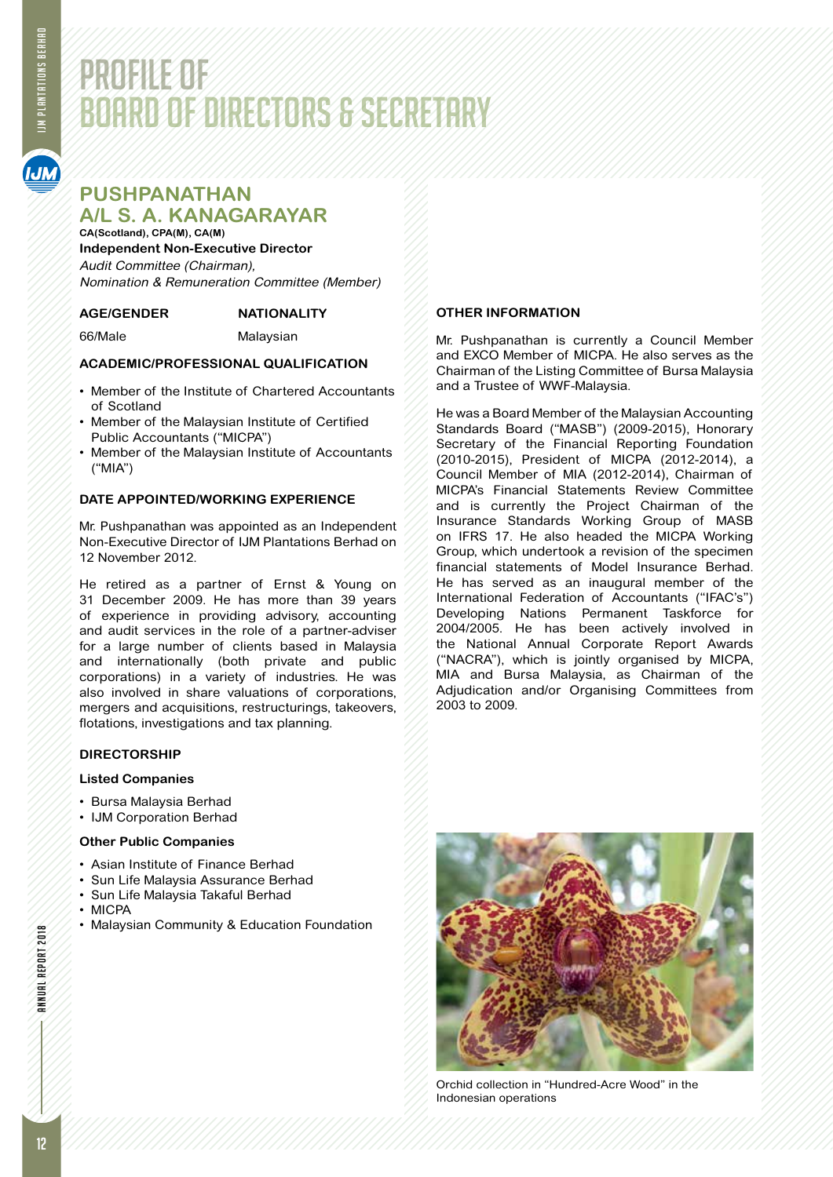# PROFILE OF BOARD OF DIRECTORS & SECRETARY

# **PUSHPANATHAN A/L S. A. KANAGARAYAR**

**CA(Scotland), CPA(M), CA(M) Independent Non-Executive Director** Audit Committee (Chairman), Nomination & Remuneration Committee (Member)

### **AGE/GENDER NATIONALITY**

66/Male Malaysian

## **ACADEMIC/PROFESSIONAL QUALIFICATION**

- • Member of the Institute of Chartered Accountants of Scotland
- • Member of the Malaysian Institute of Certified Public Accountants ("MICPA")
- Member of the Malaysian Institute of Accountants ("MIA")

#### **DATE APPOINTED/WORKING EXPERIENCE**

Mr. Pushpanathan was appointed as an Independent Non-Executive Director of IJM Plantations Berhad on 12 November 2012.

He retired as a partner of Ernst & Young on 31 December 2009. He has more than 39 years of experience in providing advisory, accounting and audit services in the role of a partner-adviser for a large number of clients based in Malaysia and internationally (both private and public corporations) in a variety of industries. He was also involved in share valuations of corporations, mergers and acquisitions, restructurings, takeovers, flotations, investigations and tax planning.

### **DIRECTORSHIP**

#### **Listed Companies**

- • Bursa Malaysia Berhad
- • IJM Corporation Berhad

#### **Other Public Companies**

- • Asian Institute of Finance Berhad
- • Sun Life Malaysia Assurance Berhad
- Sun Life Malaysia Takaful Berhad
- • MICPA
- Malaysian Community & Education Foundation

#### **OTHER INFORMATION**

Mr. Pushpanathan is currently a Council Member and EXCO Member of MICPA. He also serves as the Chairman of the Listing Committee of Bursa Malaysia and a Trustee of WWF-Malaysia.

He was a Board Member of the Malaysian Accounting Standards Board ("MASB") (2009-2015), Honorary Secretary of the Financial Reporting Foundation (2010-2015), President of MICPA (2012-2014), a Council Member of MIA (2012-2014), Chairman of MICPA's Financial Statements Review Committee and is currently the Project Chairman of the Insurance Standards Working Group of MASB on IFRS 17. He also headed the MICPA Working Group, which undertook a revision of the specimen financial statements of Model Insurance Berhad. He has served as an inaugural member of the International Federation of Accountants ("IFAC's") Developing Nations Permanent Taskforce for 2004/2005. He has been actively involved in the National Annual Corporate Report Awards ("NACRA"), which is jointly organised by MICPA, MIA and Bursa Malaysia, as Chairman of the Adjudication and/or Organising Committees from 2003 to 2009.



Orchid collection in "Hundred-Acre Wood" in the Indonesian operations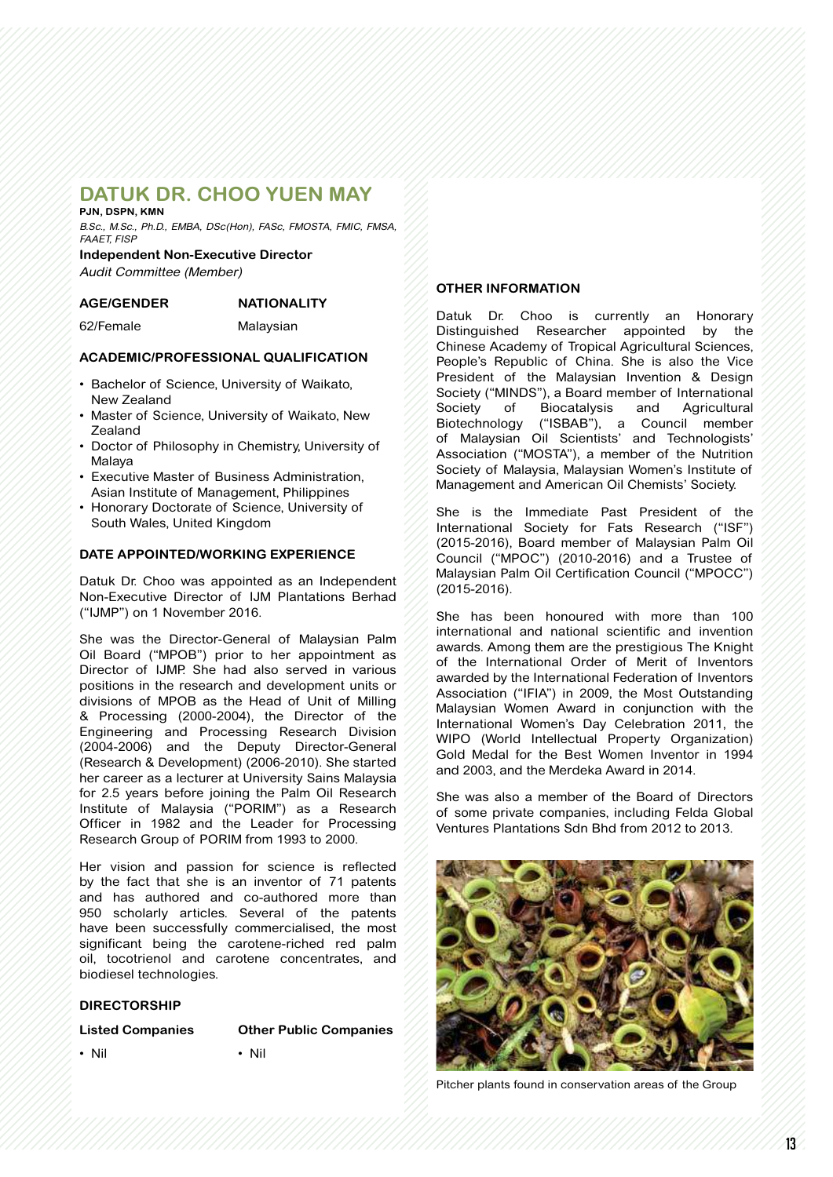# **DATUK DR. CHOO YUEN MAY**

#### **PJN, DSPN, KMN**

B.Sc., M.Sc., Ph.D., EMBA, DSc(Hon), FASc, FMOSTA, FMIC, FMSA, FAAET, FISP

**Independent Non-Executive Director** Audit Committee (Member)

#### **AGE/GENDER NATIONALITY**

62/Female Malaysian

#### **ACADEMIC/PROFESSIONAL QUALIFICATION**

- • Bachelor of Science, University of Waikato, New Zealand
- Master of Science, University of Waikato, New **Zealand**
- Doctor of Philosophy in Chemistry, University of Malaya
- • Executive Master of Business Administration, Asian Institute of Management, Philippines
- • Honorary Doctorate of Science, University of South Wales, United Kingdom

#### **DATE APPOINTED/WORKING EXPERIENCE**

Datuk Dr. Choo was appointed as an Independent Non-Executive Director of IJM Plantations Berhad ("IJMP") on 1 November 2016.

She was the Director-General of Malaysian Palm Oil Board ("MPOB") prior to her appointment as Director of IJMP. She had also served in various positions in the research and development units or divisions of MPOB as the Head of Unit of Milling & Processing (2000-2004), the Director of the Engineering and Processing Research Division (2004-2006) and the Deputy Director-General (Research & Development) (2006-2010). She started her career as a lecturer at University Sains Malaysia for 2.5 years before joining the Palm Oil Research Institute of Malaysia ("PORIM") as a Research Officer in 1982 and the Leader for Processing Research Group of PORIM from 1993 to 2000.

Her vision and passion for science is reflected by the fact that she is an inventor of 71 patents and has authored and co-authored more than 950 scholarly articles. Several of the patents have been successfully commercialised, the most significant being the carotene-riched red palm oil, tocotrienol and carotene concentrates, and biodiesel technologies.

#### **DIRECTORSHIP**

| <b>Listed Companies</b> | <b>Other Public Companies</b> |
|-------------------------|-------------------------------|
| $\cdot$ Nil             | $\cdot$ Nil                   |

#### **OTHER INFORMATION**

Datuk Dr. Choo is currently an Honorary Distinguished Researcher appointed by the Chinese Academy of Tropical Agricultural Sciences, People's Republic of China. She is also the Vice President of the Malaysian Invention & Design Society ("MINDS"), a Board member of International Society of Biocatalysis and Agricultural Biotechnology ("ISBAB"), a Council member of Malaysian Oil Scientists' and Technologists' Association ("MOSTA"), a member of the Nutrition Society of Malaysia, Malaysian Women's Institute of Management and American Oil Chemists' Society.

She is the Immediate Past President of the International Society for Fats Research ("ISF") (2015-2016), Board member of Malaysian Palm Oil Council ("MPOC") (2010-2016) and a Trustee of Malaysian Palm Oil Certification Council ("MPOCC") (2015-2016).

She has been honoured with more than 100 international and national scientific and invention awards. Among them are the prestigious The Knight of the International Order of Merit of Inventors awarded by the International Federation of Inventors Association ("IFIA") in 2009, the Most Outstanding Malaysian Women Award in conjunction with the International Women's Day Celebration 2011, the WIPO (World Intellectual Property Organization) Gold Medal for the Best Women Inventor in 1994 and 2003, and the Merdeka Award in 2014.

She was also a member of the Board of Directors of some private companies, including Felda Global Ventures Plantations Sdn Bhd from 2012 to 2013.



Pitcher plants found in conservation areas of the Group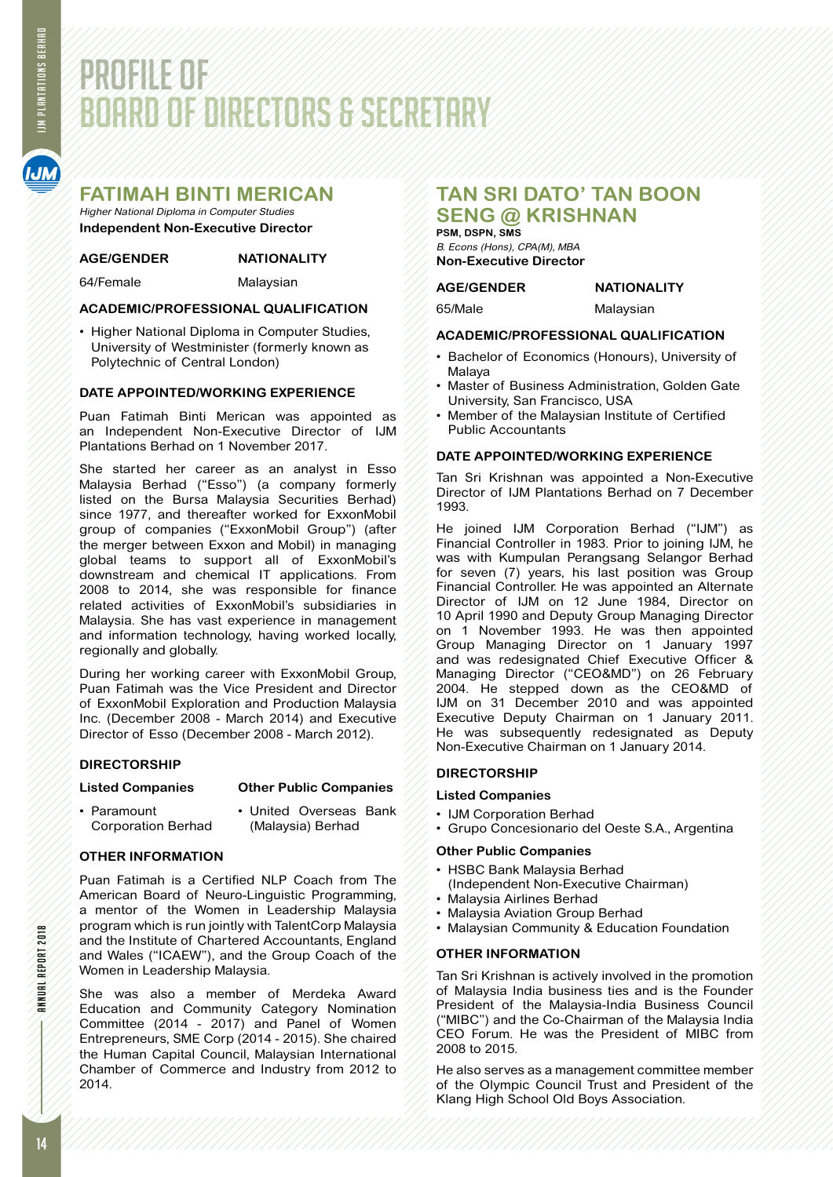# PROFILE OF BOARD OF DIRECTORS & SECRETARY

## **FATIMAH BINTI MERICAN**

Higher National Diploma in Computer Studies **Independent Non-Executive Director**

#### **AGE/GENDER NATIONALITY**

64/Female Malaysian

### **ACADEMIC/PROFESSIONAL QUALIFICATION**

• Higher National Diploma in Computer Studies, University of Westminister (formerly known as Polytechnic of Central London)

### **DATE APPOINTED/WORKING EXPERIENCE**

Puan Fatimah Binti Merican was appointed as an Independent Non-Executive Director of IJM Plantations Berhad on 1 November 2017.

She started her career as an analyst in Esso Malaysia Berhad ("Esso") (a company formerly listed on the Bursa Malaysia Securities Berhad) since 1977, and thereafter worked for ExxonMobil group of companies ("ExxonMobil Group") (after the merger between Exxon and Mobil) in managing global teams to support all of ExxonMobil's downstream and chemical IT applications. From 2008 to 2014, she was responsible for finance related activities of ExxonMobil's subsidiaries in Malaysia. She has vast experience in management and information technology, having worked locally, regionally and globally.

During her working career with ExxonMobil Group, Puan Fatimah was the Vice President and Director of ExxonMobil Exploration and Production Malaysia Inc. (December 2008 - March 2014) and Executive Director of Esso (December 2008 - March 2012).

#### **DIRECTORSHIP**

## **Listed Companies Other Public Companies**

- 
- Paramount United Overseas Bank Corporation Berhad (Malaysia) Berhad

### **OTHER INFORMATION**

Puan Fatimah is a Certified NLP Coach from The American Board of Neuro-Linguistic Programming, a mentor of the Women in Leadership Malaysia program which is run jointly with TalentCorp Malaysia and the Institute of Chartered Accountants, England and Wales ("ICAEW"), and the Group Coach of the Women in Leadership Malaysia.

She was also a member of Merdeka Award Education and Community Category Nomination Committee (2014 - 2017) and Panel of Women Entrepreneurs, SME Corp (2014 - 2015). She chaired the Human Capital Council, Malaysian International Chamber of Commerce and Industry from 2012 to 2014.

# **TAN SRI DATO' TAN BOON SENG @ KRISHNAN**

**PSM, DSPN, SMS** B. Econs (Hons), CPA(M), MBA **Non-Executive Director**

#### **AGE/GENDER NATIONALITY**

65/Male Malaysian

#### **ACADEMIC/PROFESSIONAL QUALIFICATION**

- Bachelor of Economics (Honours), University of Malaya
- • Master of Business Administration, Golden Gate University, San Francisco, USA
- Member of the Malaysian Institute of Certified Public Accountants

#### **DATE APPOINTED/WORKING EXPERIENCE**

Tan Sri Krishnan was appointed a Non-Executive Director of IJM Plantations Berhad on 7 December 1993.

He joined IJM Corporation Berhad ("IJM") as Financial Controller in 1983. Prior to joining IJM, he was with Kumpulan Perangsang Selangor Berhad for seven (7) years, his last position was Group Financial Controller. He was appointed an Alternate Director of IJM on 12 June 1984, Director on 10 April 1990 and Deputy Group Managing Director on 1 November 1993. He was then appointed Group Managing Director on 1 January 1997 and was redesignated Chief Executive Officer & Managing Director ("CEO&MD") on 26 February 2004. He stepped down as the CEO&MD of IJM on 31 December 2010 and was appointed Executive Deputy Chairman on 1 January 2011. He was subsequently redesignated as Deputy Non-Executive Chairman on 1 January 2014.

### **DIRECTORSHIP**

#### **Listed Companies**

- IJM Corporation Berhad
- • Grupo Concesionario del Oeste S.A., Argentina

#### **Other Public Companies**

- • HSBC Bank Malaysia Berhad (Independent Non-Executive Chairman)
- • Malaysia Airlines Berhad
- Malaysia Aviation Group Berhad
- Malaysian Community & Education Foundation

#### **OTHER INFORMATION**

Tan Sri Krishnan is actively involved in the promotion of Malaysia India business ties and is the Founder President of the Malaysia-India Business Council ("MIBC") and the Co-Chairman of the Malaysia India CEO Forum. He was the President of MIBC from 2008 to 2015.

He also serves as a management committee member of the Olympic Council Trust and President of the Klang High School Old Boys Association.

ANNUAL REPORT 2018